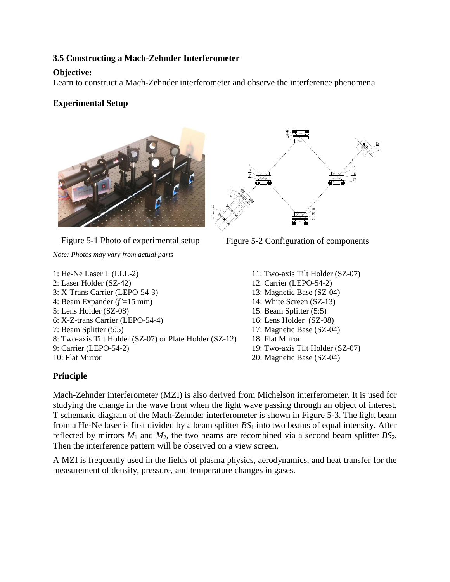## **3.5 Constructing a Mach-Zehnder Interferometer**

### **Objective:**

Learn to construct a Mach-Zehnder interferometer and observe the interference phenomena

# **Experimental Setup**



Figure 5-1 Photo of experimental setup

*Note: Photos may vary from actual parts*

1: He-Ne Laser L (LLL-2) 2: Laser Holder (SZ-42) 3: X-Trans Carrier (LEPO-54-3) 4: Beam Expander (*f'*=15 mm) 5: Lens Holder (SZ-08) 6: X-Z-trans Carrier (LEPO-54-4) 7: Beam Splitter (5:5) 8: Two-axis Tilt Holder (SZ-07) or Plate Holder (SZ-12) 9: Carrier (LEPO-54-2) 10: Flat Mirror



Figure 5-2 Configuration of components

11: Two-axis Tilt Holder (SZ-07) 12: Carrier (LEPO-54-2) 13: Magnetic Base (SZ-04) 14: White Screen (SZ-13) 15: Beam Splitter (5:5) 16: Lens Holder (SZ-08) 17: Magnetic Base (SZ-04) 18: Flat Mirror 19: Two-axis Tilt Holder (SZ-07) 20: Magnetic Base (SZ-04)

### **Principle**

Mach-Zehnder interferometer (MZI) is also derived from Michelson interferometer. It is used for studying the change in the wave front when the light wave passing through an object of interest. T schematic diagram of the Mach-Zehnder interferometer is shown in Figure 5-3. The light beam from a He-Ne laser is first divided by a beam splitter *BS*<sup>1</sup> into two beams of equal intensity. After reflected by mirrors  $M_1$  and  $M_2$ , the two beams are recombined via a second beam splitter  $BS_2$ . Then the interference pattern will be observed on a view screen.

A MZI is frequently used in the fields of plasma physics, aerodynamics, and heat transfer for the measurement of density, pressure, and temperature changes in gases.